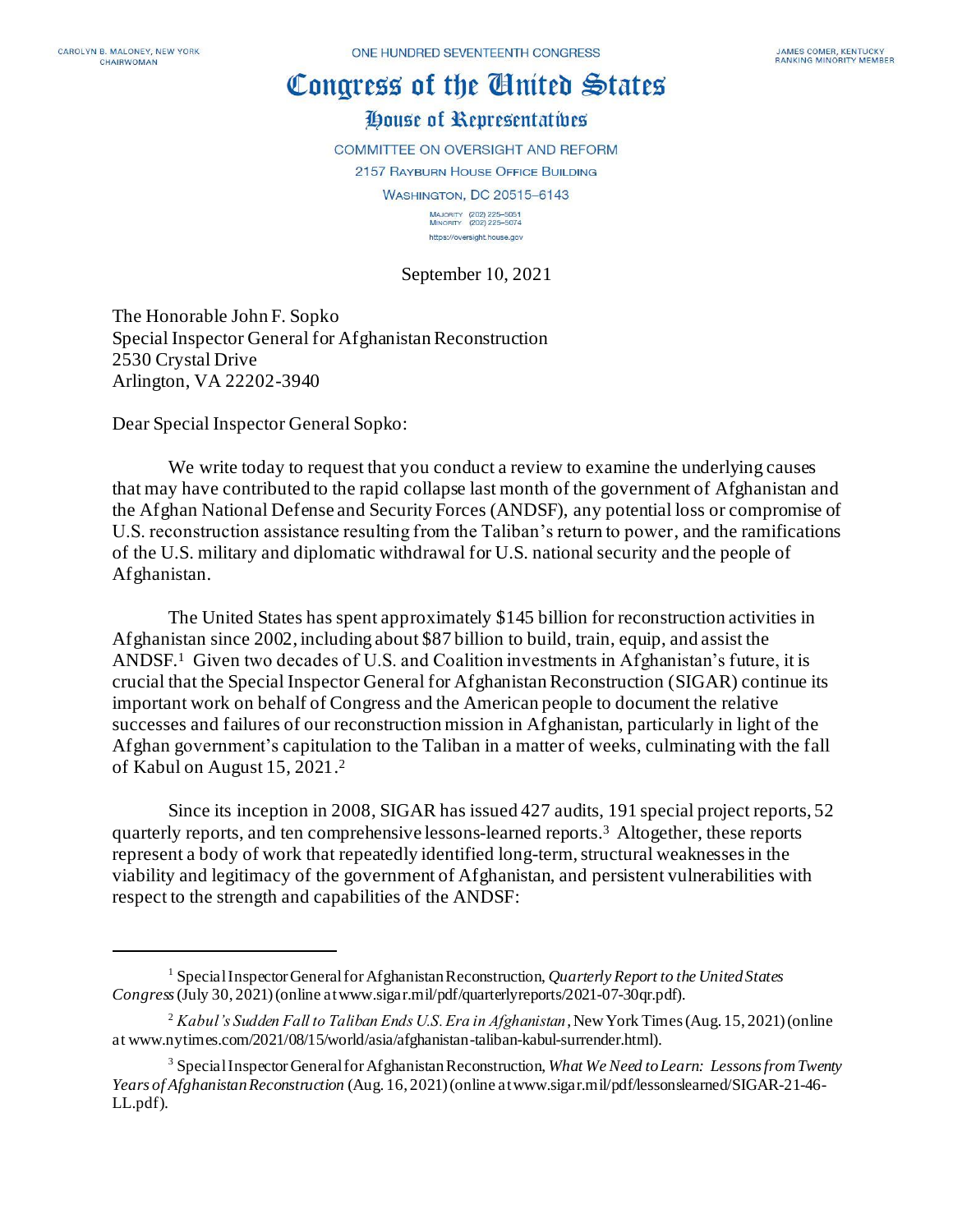## Congress of the Cinited States

## House of Representatives

**COMMITTEE ON OVERSIGHT AND REFORM** 

2157 RAYBURN HOUSE OFFICE BUILDING

**WASHINGTON, DC 20515-6143** 

MAJORITY (202) 225-5051<br>MINORITY (202) 225-5074 https://oversight.house.gov

September 10, 2021

The Honorable John F. Sopko Special Inspector General for Afghanistan Reconstruction 2530 Crystal Drive Arlington, VA 22202-3940

Dear Special Inspector General Sopko:

We write today to request that you conduct a review to examine the underlying causes that may have contributed to the rapid collapse last month of the government of Afghanistan and the Afghan National Defense and Security Forces (ANDSF), any potential loss or compromise of U.S. reconstruction assistance resulting from the Taliban's return to power, and the ramifications of the U.S. military and diplomatic withdrawal for U.S. national security and the people of Afghanistan.

The United States has spent approximately \$145 billion for reconstruction activities in Afghanistan since 2002, including about \$87 billion to build, train, equip, and assist the ANDSF.<sup>1</sup> Given two decades of U.S. and Coalition investments in Afghanistan's future, it is crucial that the Special Inspector General for Afghanistan Reconstruction (SIGAR) continue its important work on behalf of Congress and the American people to document the relative successes and failures of our reconstruction mission in Afghanistan, particularly in light of the Afghan government's capitulation to the Taliban in a matter of weeks, culminating with the fall of Kabul on August 15, 2021. 2

Since its inception in 2008, SIGAR has issued 427 audits, 191 special project reports, 52 quarterly reports, and ten comprehensive lessons-learned reports.<sup>3</sup> Altogether, these reports represent a body of work that repeatedly identified long-term, structural weaknesses in the viability and legitimacy of the government of Afghanistan, and persistent vulnerabilities with respect to the strength and capabilities of the ANDSF:

<sup>1</sup> Special Inspector General for Afghanistan Reconstruction, *Quarterly Report to the United States Congress*(July 30, 2021) (online at www.sigar.mil/pdf/quarterlyreports/2021-07-30qr.pdf).

<sup>2</sup> *Kabul's Sudden Fall to Taliban Ends U.S. Era in Afghanistan*, New York Times (Aug. 15, 2021) (online at www.nytimes.com/2021/08/15/world/asia/afghanistan-taliban-kabul-surrender.html).

<sup>3</sup> Special Inspector General for Afghanistan Reconstruction, *What We Need to Learn: Lessons from Twenty Years of Afghanistan Reconstruction* (Aug. 16, 2021) (online at www.sigar.mil/pdf/lessonslearned/SIGAR-21-46- LL.pdf).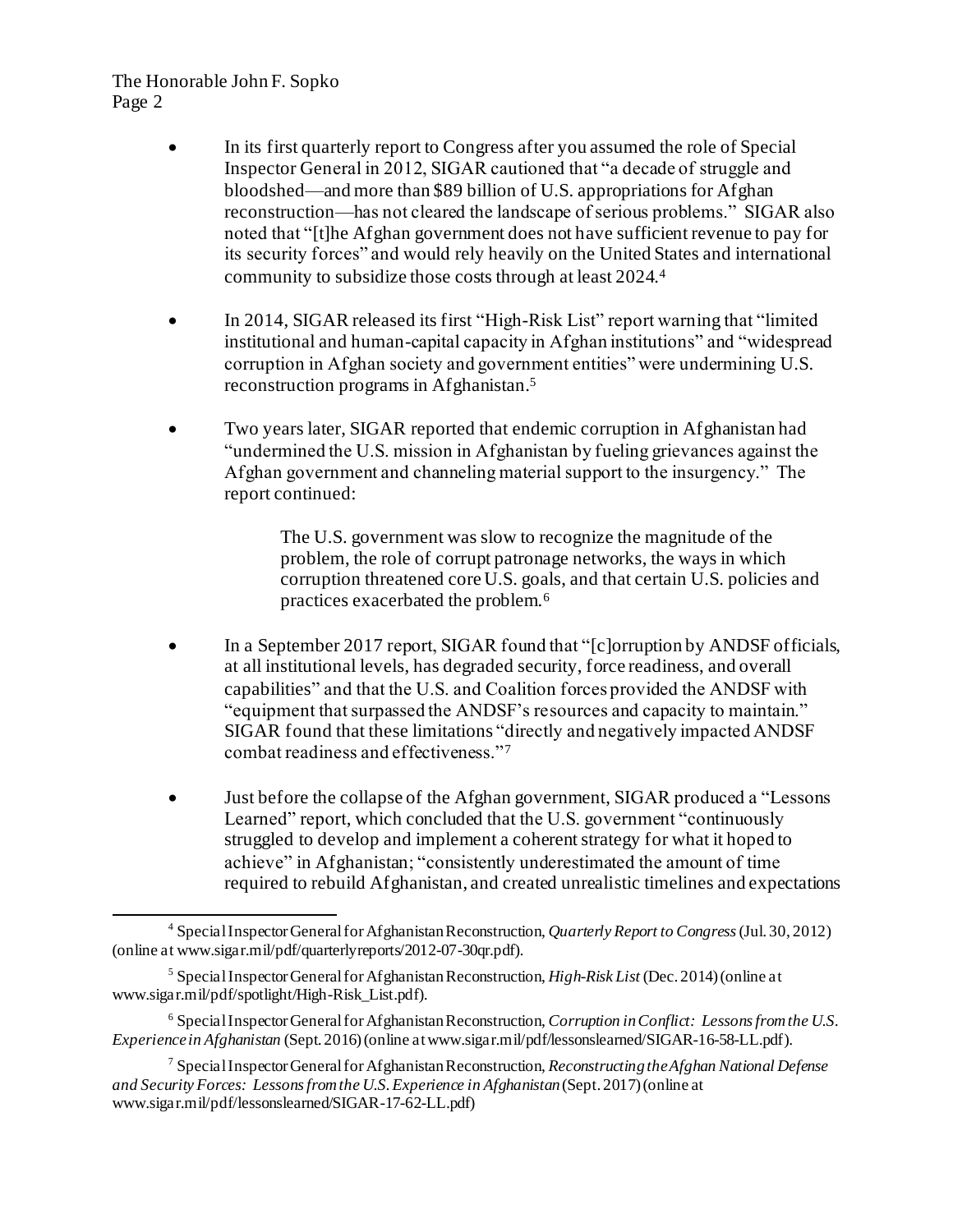The Honorable John F. Sopko Page 2

- In its first quarterly report to Congress after you assumed the role of Special Inspector General in 2012, SIGAR cautioned that "a decade of struggle and bloodshed—and more than \$89 billion of U.S. appropriations for Afghan reconstruction—has not cleared the landscape of serious problems." SIGAR also noted that "[t]he Afghan government does not have sufficient revenue to pay for its security forces" and would rely heavily on the United States and international community to subsidize those costs through at least 2024.<sup>4</sup>
- In 2014, SIGAR released its first "High-Risk List" report warning that "limited institutional and human-capital capacity in Afghan institutions" and "widespread corruption in Afghan society and government entities" were undermining U.S. reconstruction programs in Afghanistan.<sup>5</sup>
- Two years later, SIGAR reported that endemic corruption in Afghanistan had "undermined the U.S. mission in Afghanistan by fueling grievances against the Afghan government and channeling material support to the insurgency." The report continued:

The U.S. government was slow to recognize the magnitude of the problem, the role of corrupt patronage networks, the ways in which corruption threatened core U.S. goals, and that certain U.S. policies and practices exacerbated the problem.<sup>6</sup>

- In a September 2017 report, SIGAR found that "[c]orruption by ANDSF officials, at all institutional levels, has degraded security, force readiness, and overall capabilities" and that the U.S. and Coalition forces provided the ANDSF with "equipment that surpassed the ANDSF's resources and capacity to maintain." SIGAR found that these limitations "directly and negatively impacted ANDSF combat readiness and effectiveness."<sup>7</sup>
- Just before the collapse of the Afghan government, SIGAR produced a "Lessons Learned" report, which concluded that the U.S. government "continuously struggled to develop and implement a coherent strategy for what it hoped to achieve" in Afghanistan; "consistently underestimated the amount of time required to rebuild Afghanistan, and created unrealistic timelines and expectations

<sup>4</sup> Special Inspector General for Afghanistan Reconstruction, *Quarterly Report to Congress*(Jul. 30, 2012) (online at www.sigar.mil/pdf/quarterlyreports/2012-07-30qr.pdf).

<sup>5</sup> Special Inspector General for Afghanistan Reconstruction, *High-Risk List* (Dec. 2014) (online at www.sigar.mil/pdf/spotlight/High-Risk\_List.pdf).

<sup>6</sup> Special Inspector General for Afghanistan Reconstruction, *Corruption in Conflict: Lessons from the U.S. Experience in Afghanistan* (Sept. 2016) (online at www.sigar.mil/pdf/lessonslearned/SIGAR-16-58-LL.pdf).

<sup>7</sup> Special Inspector General for Afghanistan Reconstruction, *Reconstructing the Afghan National Defense and Security Forces: Lessons from the U.S. Experience in Afghanistan* (Sept. 2017) (online at www.sigar.mil/pdf/lessonslearned/SIGAR-17-62-LL.pdf)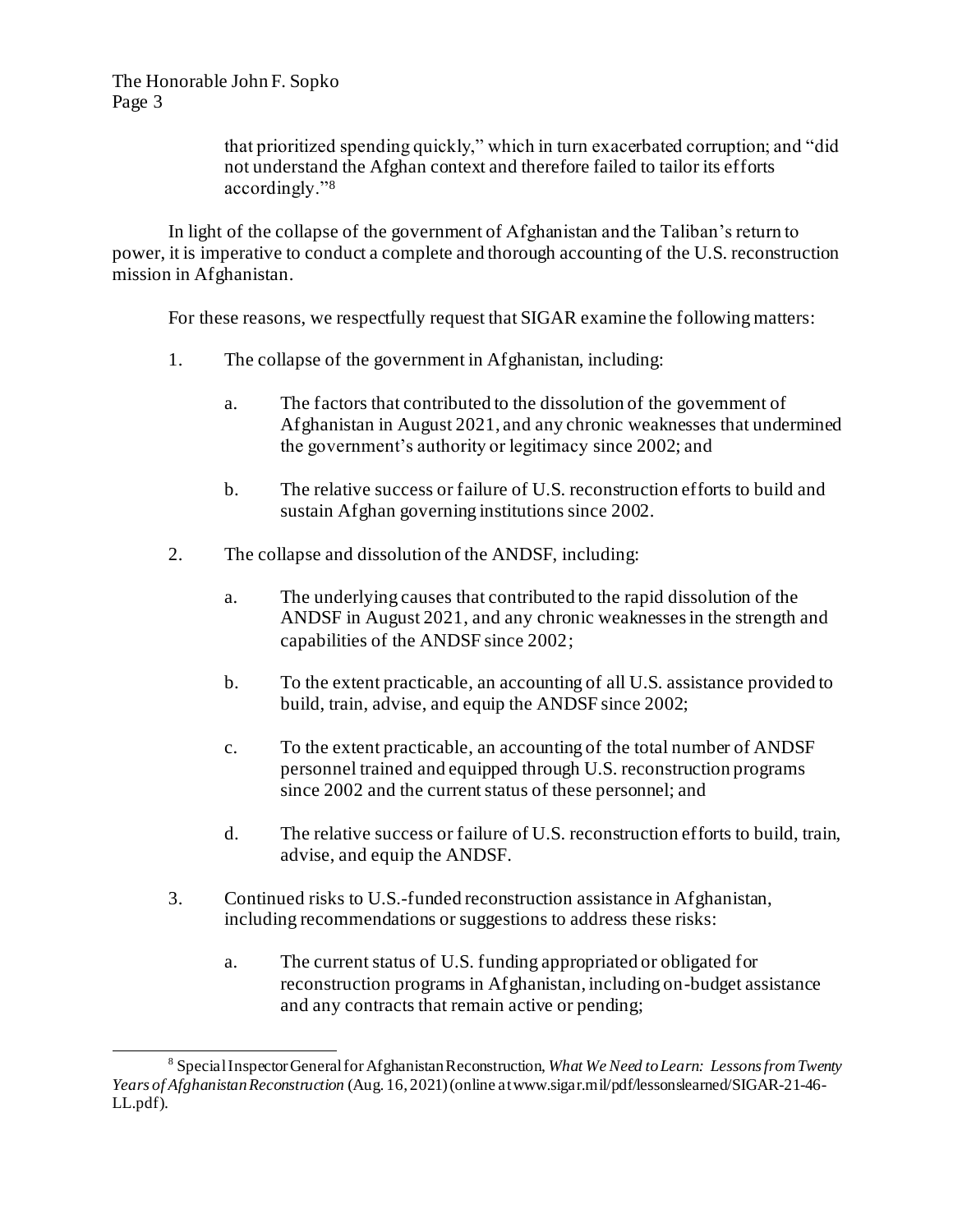The Honorable John F. Sopko Page 3

> that prioritized spending quickly," which in turn exacerbated corruption; and "did not understand the Afghan context and therefore failed to tailor its efforts accordingly."<sup>8</sup>

In light of the collapse of the government of Afghanistan and the Taliban's return to power, it is imperative to conduct a complete and thorough accounting of the U.S. reconstruction mission in Afghanistan.

For these reasons, we respectfully request that SIGAR examine the following matters:

- 1. The collapse of the government in Afghanistan, including:
	- a. The factors that contributed to the dissolution of the government of Afghanistan in August 2021, and any chronic weaknesses that undermined the government's authority or legitimacy since 2002; and
	- b. The relative success or failure of U.S. reconstruction efforts to build and sustain Afghan governing institutions since 2002.
- 2. The collapse and dissolution of the ANDSF, including:
	- a. The underlying causes that contributed to the rapid dissolution of the ANDSF in August 2021, and any chronic weaknesses in the strength and capabilities of the ANDSF since 2002;
	- b. To the extent practicable, an accounting of all U.S. assistance provided to build, train, advise, and equip the ANDSF since 2002;
	- c. To the extent practicable, an accounting of the total number of ANDSF personnel trained and equipped through U.S. reconstruction programs since 2002 and the current status of these personnel; and
	- d. The relative success or failure of U.S. reconstruction efforts to build, train, advise, and equip the ANDSF.
- 3. Continued risks to U.S.-funded reconstruction assistance in Afghanistan, including recommendations or suggestions to address these risks:
	- a. The current status of U.S. funding appropriated or obligated for reconstruction programs in Afghanistan, including on-budget assistance and any contracts that remain active or pending;

<sup>8</sup> Special Inspector General for Afghanistan Reconstruction, *What We Need to Learn: Lessons from Twenty Years of Afghanistan Reconstruction* (Aug. 16, 2021) (online at www.sigar.mil/pdf/lessonslearned/SIGAR-21-46- LL.pdf).